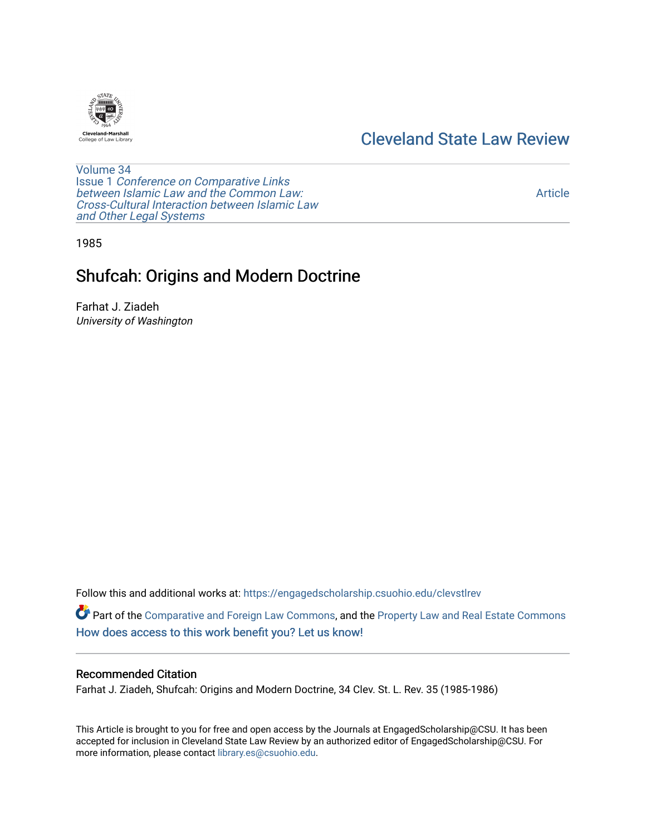# [Cleveland State Law Review](https://engagedscholarship.csuohio.edu/clevstlrev)



[Volume 34](https://engagedscholarship.csuohio.edu/clevstlrev/vol34) Issue 1 [Conference on Comparative Links](https://engagedscholarship.csuohio.edu/clevstlrev/vol34/iss1) [between Islamic Law and the Common Law:](https://engagedscholarship.csuohio.edu/clevstlrev/vol34/iss1) [Cross-Cultural Interaction between Islamic Law](https://engagedscholarship.csuohio.edu/clevstlrev/vol34/iss1)  [and Other Legal Systems](https://engagedscholarship.csuohio.edu/clevstlrev/vol34/iss1) 

[Article](https://engagedscholarship.csuohio.edu/clevstlrev/vol34/iss1/6) 

1985

# Shufcah: Origins and Modern Doctrine

Farhat J. Ziadeh University of Washington

Follow this and additional works at: [https://engagedscholarship.csuohio.edu/clevstlrev](https://engagedscholarship.csuohio.edu/clevstlrev?utm_source=engagedscholarship.csuohio.edu%2Fclevstlrev%2Fvol34%2Fiss1%2F6&utm_medium=PDF&utm_campaign=PDFCoverPages)

Part of the [Comparative and Foreign Law Commons,](http://network.bepress.com/hgg/discipline/836?utm_source=engagedscholarship.csuohio.edu%2Fclevstlrev%2Fvol34%2Fiss1%2F6&utm_medium=PDF&utm_campaign=PDFCoverPages) and the Property Law and Real Estate Commons [How does access to this work benefit you? Let us know!](http://library.csuohio.edu/engaged/)

### Recommended Citation

Farhat J. Ziadeh, Shufcah: Origins and Modern Doctrine, 34 Clev. St. L. Rev. 35 (1985-1986)

This Article is brought to you for free and open access by the Journals at EngagedScholarship@CSU. It has been accepted for inclusion in Cleveland State Law Review by an authorized editor of EngagedScholarship@CSU. For more information, please contact [library.es@csuohio.edu](mailto:library.es@csuohio.edu).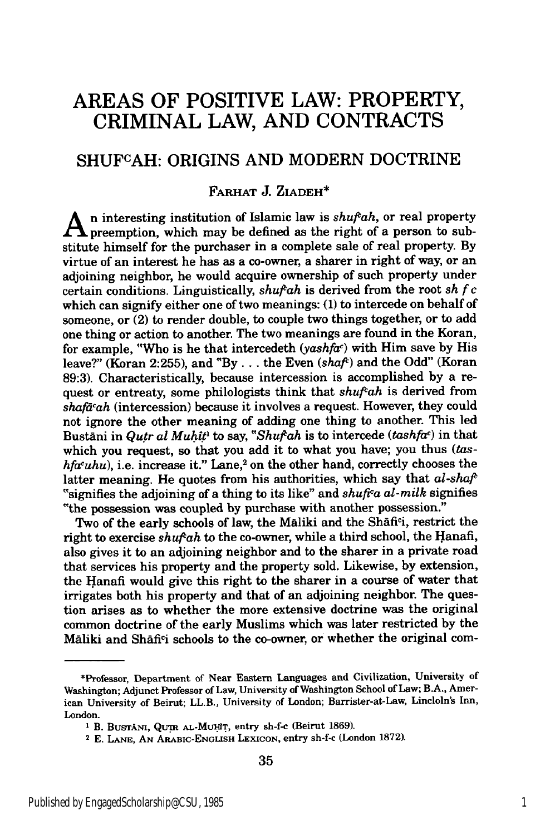## **AREAS** OF POSITIVE LAW: PROPERTY, CRIMINAL LAW, **AND CONTRACTS**

## SHUFCAH: **ORIGINS AND** MODERN DOCTRINE

### **FARHAT** J. ZIADEH\*

**A** n interesting institution of Islamic law is *shufah,* or real property **L** preemption, which may be defined as the right of a person to substitute himself for the purchaser in a complete sale of real property. **By** virtue of an interest he has as a co-owner, a sharer in right of way, or an adjoining neighbor, he would acquire ownership of such property under certain conditions. Linguistically, *shuftah* is derived from the root *sh* **f** *c* which can signify either one of two meanings: **(1)** to intercede on behalf of someone, or (2) to render double, to couple two things together, or to add one thing or action to another. The two meanings are found in the Koran, for example, "Who is he that intercedeth *(yashfae)* with Him save **by** His leave?" (Koran 2:255), and "By . . . the Even *(shaf<sup>t</sup>)* and the Odd" (Koran **89:3).** Characteristically, because intercession is accomplished **by** a request or entreaty, some philologists think that *shuftah* is derived from *shafacah* (intercession) because it involves a request. However, they could not ignore the other meaning of adding one thing to another. This led Bustani in *Qutr al Muhit<sup>1</sup>* to say, "Shuf'ah is to intercede *(tashfac)* in that which you request, so that you add it to what you have; you thus *(tashfacuhu),* i.e. increase it." Lane,2 on the other hand, correctly chooses the latter meaning. He quotes from his authorities, which say that *al-shaf/* "signifies the adjoining of a thing to its like" and *shufica al-milk* signifies "the possession was coupled by purchase with another possession."

Two of the early schools of law, the Maliki and the Shafi<sup>c</sup>i, restrict the right to exercise *shufah* to the co-owner, while a third school, the Hanafi, also gives it to an adjoining neighbor and to the sharer in a private road that services his property and the property sold. Likewise, by extension, the Hanafi would give this right to the sharer in a course of water that irrigates both his property and that of an adjoining neighbor. The question arises as to whether the more extensive doctrine was the original common doctrine of the early Muslims which was later restricted by the MAliki and Shafici schools to the co-owner, or whether the original com-

<sup>\*</sup>Professor, Department of Near Eastern Languages and Civilization, University of Washington; Adjunct Professor of Law, University of Washington School of Law; B.A., American University of Beirut; LL.B., University of London; Barrister-at-Law, Lincloln's Inn, London.

<sup>&</sup>lt;sup>1</sup> B. Bustani, QuTR AL-MUHIT, entry sh-f-c (Beirut 1869).

<sup>2</sup> E. **LANE, AN** ARABIC-ENGLISH **LEXICON,** entry sh-f-c (London 1872).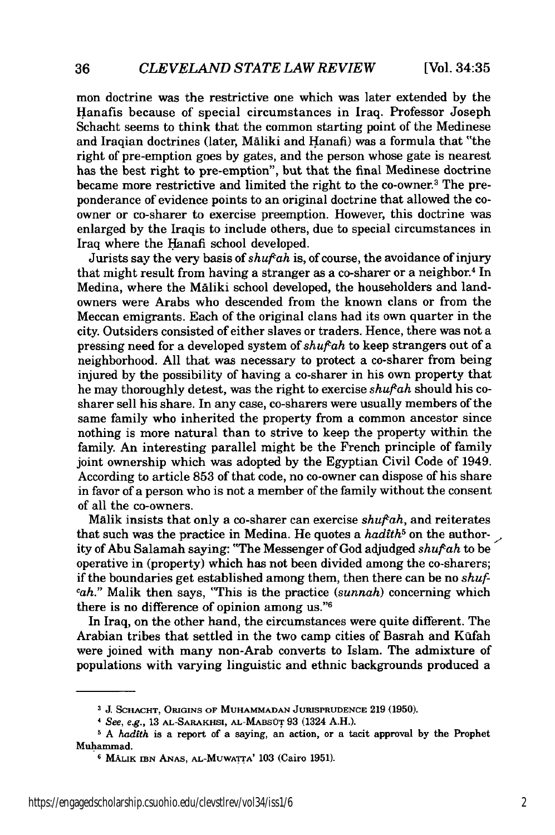mon doctrine was the restrictive one which was later extended by the Hanafis because of special circumstances in Iraq. Professor Joseph Schacht seems to think that the common starting point of the Medinese and Iraqian doctrines (later, Maliki and Hanafi) was a formula that "the right of pre-emption goes by gates, and the person whose gate is nearest has the best right to pre-emption", but that the final Medinese doctrine became more restrictive and limited the right to the co-owner.3 The preponderance of evidence points to an original doctrine that allowed the coowner or co-sharer to exercise preemption. However, this doctrine was enlarged by the Iraqis to include others, due to special circumstances in Iraq where the Hanafi school developed.

Jurists say the very basis of *shuftah* is, of course, the avoidance of injury that might result from having a stranger as a co-sharer or a neighbor.4 In Medina, where the Maliki school developed, the householders and landowners were Arabs who descended from the known clans or from the Meccan emigrants. Each of the original clans had its own quarter in the city. Outsiders consisted of either slaves or traders. Hence, there was not a pressing need for a developed system of *shufah* to keep strangers out of a neighborhood. All that was necessary to protect a co-sharer from being injured by the possibility of having a co-sharer in his own property that he may thoroughly detest, was the right to exercise *shufah* should his cosharer sell his share. In any case, co-sharers were usually members of the same family who inherited the property from a common ancestor since nothing is more natural than to strive to keep the property within the family. An interesting parallel might be the French principle of family joint ownership which was adopted by the Egyptian Civil Code of 1949. According to article 853 of that code, no co-owner can dispose of his share in favor of a person who is not a member of the family without the consent of all the co-owners.

Malik insists that only a co-sharer can exercise *shufah,* and reiterates that such was the practice in Medina. He quotes a *hadfth5* on the author- **.,** ity of Abu Salamah saying: "The Messenger of God adjudged *shuifah* to be operative in (property) which has not been divided among the co-sharers; if the boundaries get established among them, then there can be no *shufcah."* Malik then says, "This is the practice *(sunnah)* concerning which there is no difference of opinion among us."<sup>6</sup>

In Iraq, on the other hand, the circumstances were quite different. The Arabian tribes that settled in the two camp cities of Basrah and Kufah were joined with many non-Arab converts to Islam. The admixture of populations with varying linguistic and ethnic backgrounds produced a

**a J. SCHACHT, ORIGINS** OF **MUHAMMADAN JURISPRUDENCE** 219 **(1950).**

*See, e.g.,* 13 AL-SARAKHSI, AL-MABSUT 93 (1324 A.H.).

*A hadfth* is a report of a saying, an action, or a tacit approval by the Prophet Mulhanmad.

<sup>6</sup> **MALIK IBN** ANAS, **AL-MUWATrA'** 103 (Cairo 1951).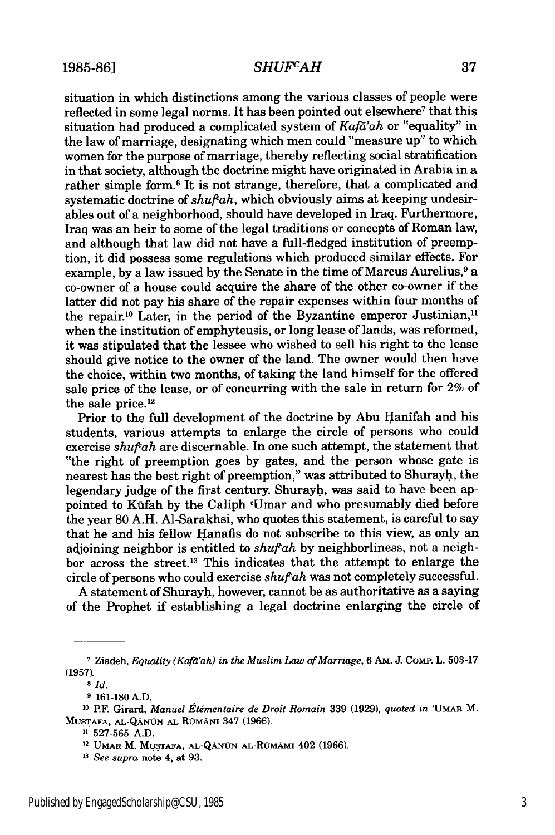### 1985-86] *SHUFCAH* 37

situation in which distinctions among the various classes of people were reflected in some legal norms. It has been pointed out elsewhere<sup>7</sup> that this situation had produced a complicated system of *Kafd'ah* or "equality" in the law of marriage, designating which men could "measure up" to which women for the purpose of marriage, thereby reflecting social stratification in that society, although the doctrine might have originated in Arabia in a rather simple form.<sup>8</sup> It is not strange, therefore, that a complicated and systematic doctrine of *shufah,* which obviously aims at keeping undesirables out of a neighborhood, should have developed in Iraq. Furthermore, Iraq was an heir to some of the legal traditions or concepts of Roman law, and although that law did not have a full-fledged institution of preemption, it did possess some regulations which produced similar effects. For example, by a law issued by the Senate in the time of Marcus Aurelius,<sup>9</sup> a co-owner of a house could acquire the share of the other co-owner if the latter did not pay his share of the repair expenses within four months of the repair.<sup>10</sup> Later, in the period of the Byzantine emperor Justinian,<sup>11</sup> when the institution of emphyteusis, or long lease of lands, was reformed, it was stipulated that the lessee who wished to sell his right to the lease should give notice to the owner of the land. The owner would then have the choice, within two months, of taking the land himself for the offered sale price of the lease, or of concurring with the sale in return for 2% of the sale price.<sup>12</sup>

Prior to the full development of the doctrine by Abu Hanifah and his students, various attempts to enlarge the circle of persons who could exercise *shufah* are discernable. In one such attempt, the statement that "the right of preemption goes by gates, and the person whose gate is nearest has the best right of preemption," was attributed to Shurayh, the legendary judge of the first century. Shurayh, was said to have been appointed to Kūfah by the Caliph <sup>c</sup>Umar and who presumably died before the year 80 A.H. Al-Sarakhsi, who quotes this statement, is careful to say that he and his fellow Hanafis do not subscribe to this view, as only an adjoining neighbor is entitled to *shufah* by neighborliness, not a neighbor across the street.13 This indicates that the attempt to enlarge the circle of persons who could exercise *shufah* was not completely successful.

A statement of Shurayh, however, cannot be as authoritative as a saying of the Prophet if establishing a legal doctrine enlarging the circle of

**<sup>7</sup>**Ziadeh, *Equality (Kafd'ah) in the Muslim Law of Marriage,* **6** Am. **J.** COMP. L. **503-17 (1957).**

**<sup>8</sup>** *Id.*

**<sup>9 161-180</sup> A.D.**

**<sup>10</sup> P.E** Girard, *Manuel Etementaire de Droit Romain* **339 (1929),** *quoted in* **'UMAR** M. MUSTAFA, AL-QANUN AL RUMANI 347 (1966).

**<sup>11 527-565</sup> A.D.**

**<sup>&</sup>quot; UMAR** M. **MUSTAFA, AL-QANN AL-RoMAMI** 402 (1966).

*<sup>13</sup>See supra* note 4, at **93.**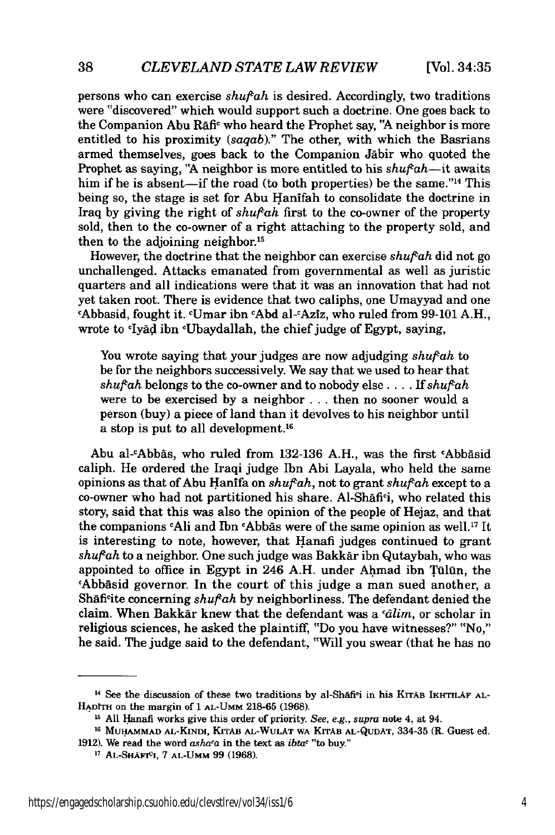persons who can exercise *shufah* is desired. Accordingly, two traditions were "discovered" which would support such a doctrine. One goes back to the Companion Abu Rafic who heard the Prophet say, *'A* neighbor is more entitled to his proximity *(saqab)."* The other, with which the Basrians armed themselves, goes back to the Companion Jabir who quoted the Prophet as saying, **"A** neighbor is more entitled to his *shufah-it* awaits him if he is absent—if the road (to both properties) be the same." $14$  This being so, the stage is set for Abu Hanifah to consolidate the doctrine in Iraq by giving the right of *shuf<sup>k</sup>ah* first to the co-owner of the property sold, then to the co-owner of a right attaching to the property sold, and then to the adjoining neighbor.<sup>15</sup>

However, the doctrine that the neighbor can exercise *shufah* did not go unchallenged. Attacks emanated from governmental as well as juristic quarters and all indications were that it was an innovation that had not yet taken root. There is evidence that two caliphs, one Umayyad and one cAbbasid, fought it. cUmar ibn cAbd al-cAziz, who ruled from 99-101 A.H., wrote to <sup>c</sup>Iyad ibn <sup>c</sup>Ubaydallah, the chief judge of Egypt, saying,

You wrote saying that your judges are now adjudging *shufah* to be for the neighbors successively. We say that we used to hear that  $shufah$  belongs to the co-owner and to nobody else .... If  $shufah$ were to be exercised by a neighbor .**..** then no sooner would a person (buy) a piece of land than it devolves to his neighbor until a stop is put to all development.<sup>16</sup>

Abu al-cAbbas, who ruled from 132-136 A.H., was the first cAbbasid caliph. He ordered the Iraqi judge Ibn Abi Layala, who held the same opinions as that of Abu Hanifa on *shufah,* not to grant *shufah* except to a co-owner who had not partitioned his share. Al-Shafi<sup>c</sup>i, who related this story, said that this was also the opinion of the people of Hejaz, and that the companions <sup>c</sup>Ali and Ibn <sup>c</sup>Abbas were of the same opinion as well.<sup>17</sup> It is interesting to note, however, that Hanafi judges continued to grant *shufah* to a neighbor. One such judge was Bakk&r ibn Qutaybah, who was appointed to office in Egypt in 246 A.H. under Ahmad ibn Tūlūn, the cAbb&sid governor. In the court of this judge a man sued another, a Shafi<sup>c</sup>ite concerning *shuf<sup>c</sup>ah* by neighborliness. The defendant denied the claim. When Bakkar knew that the defendant was a *cdlim,* or scholar in religious sciences, he asked the plaintiff, "Do you have witnesses?" "No," he said. The judge said to the defendant, "Will you swear (that he has no

<sup>&</sup>lt;sup>14</sup> See the discussion of these two traditions by al-Shafi<sup>c</sup>i in his KITAB IKHTILAF AL-**HADITH** on the margin **of 1** AL-UMM **218-65 (1968). 1 All** Hanafi works give this order of priority. *See, e.g., supra* note 4, at 94.

**<sup>16</sup>**Mu **.AMMAD AL-KINDI, KJTAB AL-WULAT WA** KITAB **AL-QUDAT, 334-35** (R. Guest ed. 1912). We read the word *asha<sup>c</sup>a* in the text as *ibta<sup>c</sup>* "to buy."

**<sup>17</sup> AL-SHAFICI, 7 AL-UMM 99 (1968).**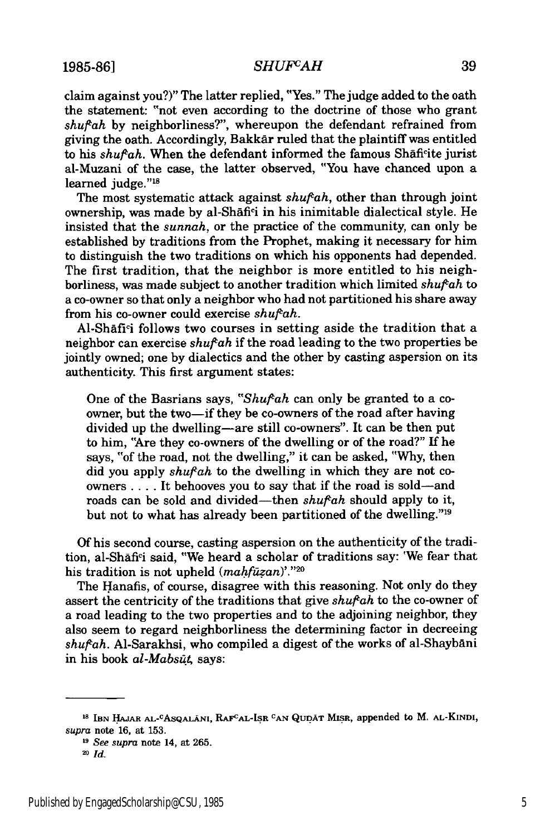1985-86] *SHUFCAH* 39

claim against you?)" The latter replied, "Yes." The judge added to the oath the statement: "not even according to the doctrine of those who grant *shuftah* by neighborliness?", whereupon the defendant refrained from giving the oath. Accordingly, Bakkar ruled that the plaintiff was entitled to his *shufah.* When the defendant informed the famous Shaficite jurist al-Muzani of the case, the latter observed, "You have chanced upon a learned judge."<sup>18</sup>

The most systematic attack against  $shuf<sup>c</sup>ah$ , other than through joint ownership, was made by al-Shafici in his inimitable dialectical style. He insisted that the *sunnah,* or the practice of the community, can only be established by traditions from the Prophet, making it necessary for him to distinguish the two traditions on which his opponents had depended. The first tradition, that the neighbor is more entitled to his neighborliness, was made subject to another tradition which limited *shufah* to a co-owner so that only a neighbor who had not partitioned his share away from his co-owner could exercise *shuf<sup>cah*.</sup>

Al-Shāfi<sup>c</sup>i follows two courses in setting aside the tradition that a neighbor can exercise *shufah* if the road leading to the two properties be jointly owned; one by dialectics and the other by casting aspersion on its authenticity. This first argument states:

One of the Basrians says, "Shufah can only be granted to a coowner, but the two-if they be co-owners of the road after having divided up the dwelling-are still co-owners". It can be then put to him, "Are they co-owners of the dwelling or of the road?" If he says, "of the road, not the dwelling," it can be asked, "Why, then did you apply *shufah* to the dwelling in which they are not coowners .... It behooves you to say that if the road is sold-and roads can be sold and divided-then *shufah* should apply to it, but not to what has already been partitioned of the dwelling."'19

Of his second course, casting aspersion on the authenticity of the tradition, al-Shafici said, "We heard a scholar of traditions say: 'We fear that his tradition is not upheld *(mahfuzan)*'."20

The Hanafis, of course, disagree with this reasoning. Not only do they assert the centricity of the traditions that give *shuftah* to the co-owner of a road leading to the two properties and to the adjoining neighbor, they also seem to regard neighborliness the determining factor in decreeing *shufah.* Al-Sarakhsi, who compiled a digest of the works of al-Shaybani in his book *al-Mabsūt*, says:

**<sup>&#</sup>x27;8 IBN HAJAR AL-CAsQALANI, RAFCAL-ISR CAN QUDAT MISR,** appended **to** M. **AL-KINDI,** *supra* note 16, at 153.

**<sup>19</sup>** *See supra* **note** 14, **at 265.**

<sup>20</sup> *Id.*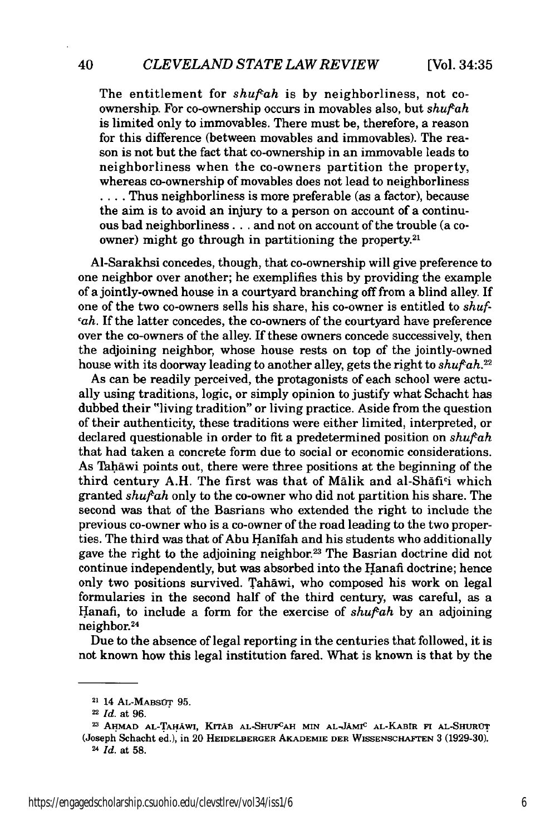The entitlement for *shufah* is by neighborliness, not coownership. For co-ownership occurs in movables also, but *shuftah* is limited only to immovables. There must be, therefore, a reason for this difference (between movables and immovables). The reason is not but the fact that co-ownership in an immovable leads to neighborliness when the co-owners partition the property, whereas co-ownership of movables does not lead to neighborliness .... Thus neighborliness is more preferable (as a factor), because the aim is to avoid an injury to a person on account of a continuous bad neighborliness.., and not on account of the trouble (a coowner) might go through in partitioning the property.<sup>21</sup>

Al-Sarakhsi concedes, though, that co-ownership will give preference to one neighbor over another; he exemplifies this by providing the example of a jointly-owned house in a courtyard branching off from a blind alley. If one of the two co-owners sells his share, his co-owner is entitled to *shufcah.* If the latter concedes, the co-owners of the courtyard have preference over the co-owners of the alley. If these owners concede successively, then the adjoining neighbor, whose house rests on top of the jointly-owned house with its doorway leading to another alley, gets the right to *shufah.22*

As can be readily perceived, the protagonists of each school were actually using traditions, logic, or simply opinion to justify what Schacht has dubbed their "living tradition" or living practice. Aside from the question of their authenticity, these traditions were either limited, interpreted, or declared questionable in order to fit a predetermined position on *shufah* that had taken a concrete form due to social or economic considerations. As Tahāwi points out, there were three positions at the beginning of the third century A.H. The first was that of Malik and al-Shafici which granted *shuftah* only to the co-owner who did not partition his share. The second was that of the Basrians who extended the right to include the previous co-owner who is a co-owner of the road leading to the two properties. The third was that of Abu Hanifah and his students who additionally gave the right to the adjoining neighbor.<sup>23</sup> The Basrian doctrine did not continue independently, but was absorbed into the Hanafi doctrine; hence only two positions survived. Tahawi, who composed his work on legal formularies in the second half of the third century, was careful, as a Hanafi, to include a form for the exercise of *shufah* by an adjoining neighbor.<sup>24</sup>

Due to the absence of legal reporting in the centuries that followed, it is not known how this legal institution fared. What is known is that by the

<sup>21</sup> 14 **AL-MABSOT 95.**

**<sup>22</sup>** *Id.* at 96.

**<sup>23</sup> AHMAD AL-TAHAWI, KrTAB AL-SHUFCAH MIN AL-JAMIC AL-KABIR FI AL-SHUROT** (Joseph Schacht **ed.),** in 20 **HEIDELBERGER AKADEMIE DER WISSENSCHAFTEN 3 (1929-30). 24** *Id.* at **58.**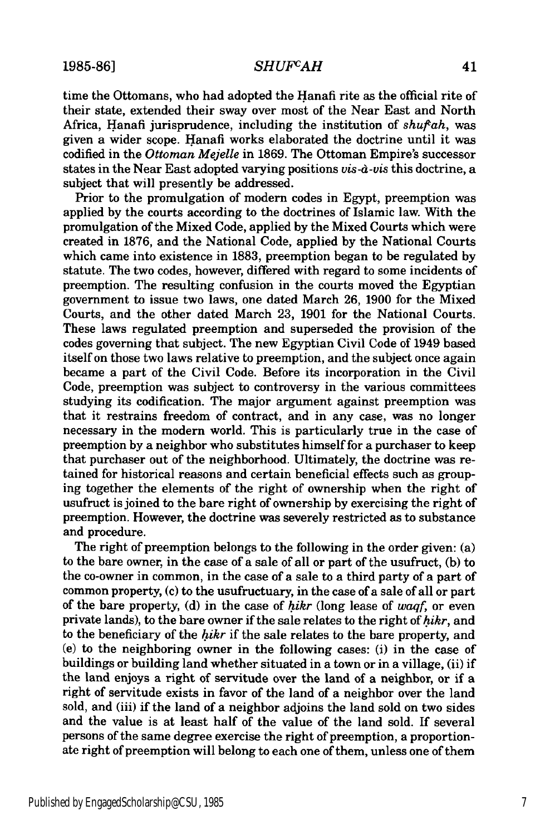time the Ottomans, who had adopted the Hanafi rite as the official rite of their state, extended their sway over most of the Near East and North Africa, Hanafi jurisprudence, including the institution of *shufah,* was given a wider scope. Hanafi works elaborated the doctrine until it was codified in the *Ottoman Mejelle* in 1869. The Ottoman Empire's successor states in the Near East adopted varying positions *vis-d-vis* this doctrine, a subject that will presently be addressed.

Prior to the promulgation of modern codes in Egypt, preemption was applied by the courts according to the doctrines of Islamic law. With the promulgation of the Mixed Code, applied by the Mixed Courts which were created in 1876, and the National Code, applied by the National Courts which came into existence in 1883, preemption began to be regulated by statute. The two codes, however, differed with regard to some incidents of preemption. The resulting confusion in the courts moved the Egyptian government to issue two laws, one dated March 26, 1900 for the Mixed Courts, and the other dated March 23, 1901 for the National Courts. These laws regulated preemption and superseded the provision of the codes governing that subject. The new Egyptian Civil Code of 1949 based itself on those two laws relative to preemption, and the subject once again became a part of the Civil Code. Before its incorporation in the Civil Code, preemption was subject to controversy in the various committees studying its codification. The major argument against preemption was that it restrains freedom of contract, and in any case, was no longer necessary in the modem world. This is particularly true in the case of preemption by a neighbor who substitutes himself for a purchaser to keep that purchaser out of the neighborhood. Ultimately, the doctrine was retained for historical reasons and certain beneficial effects such as grouping together the elements of the right of ownership when the right of usufruct is joined to the bare right of ownership by exercising the right of preemption. However, the doctrine was severely restricted as to substance and procedure.

The right of preemption belongs to the following in the order given: (a) to the bare owner, in the case of a sale of all or part of the usufruct, (b) to the co-owner in common, in the case of a sale to a third party of a part of common property, (c) to the usufructuary, in the case of a sale of all or part of the bare property, (d) in the case of *hikr* (long lease of *waqf,* or even private lands), to the bare owner if the sale relates to the right of *hikr,* and to the beneficiary of the *hikr* if the sale relates to the bare property, and (e) to the neighboring owner in the following cases: (i) in the case of buildings or building land whether situated in a town or in a village, (ii) if the land enjoys a right of servitude over the land of a neighbor, or if a right of servitude exists in favor of the land of a neighbor over the land sold, and (iii) if the land of a neighbor adjoins the land sold on two sides and the value is at least half of the value of the land sold. If several persons of the same degree exercise the right of preemption, a proportionate right of preemption will belong to each one of them, unless one of them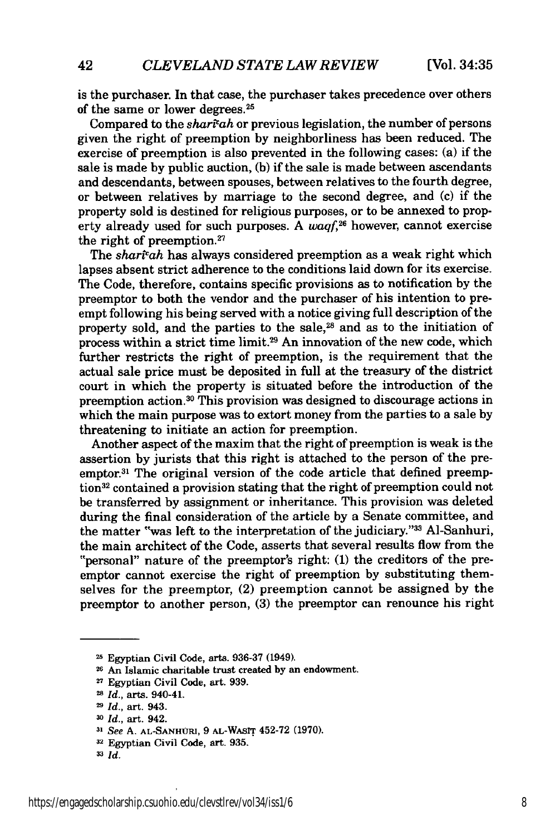is the purchaser. In that case, the purchaser takes precedence over others of the same or lower degrees.<sup>25</sup>

Compared to the *sharicah* or previous legislation, the number of persons given the right of preemption by neighborliness has been reduced. The exercise of preemption is also prevented in the following cases: (a) if the sale is made by public auction, (b) if the sale is made between ascendants and descendants, between spouses, between relatives to the fourth degree, or between relatives by marriage to the second degree, and (c) if the property sold is destined for religious purposes, or to be annexed to property already used for such purposes. A *waqf,26* however, cannot exercise the right of preemption.<sup>27</sup>

The *sharivah* has always considered preemption as a weak right which lapses absent strict adherence to the conditions laid down for its exercise. The Code, therefore, contains specific provisions as to notification by the preemptor to both the vendor and the purchaser of his intention to preempt following his being served with a notice giving full description of the property sold, and the parties to the sale,<sup>28</sup> and as to the initiation of process within a strict time limit.29 An innovation of the new code, which further restricts the right of preemption, is the requirement that the actual sale price must be deposited in full at the treasury of the district court in which the property is situated before the introduction of the preemption action.30 This provision was designed to discourage actions in which the main purpose was to extort money from the parties to a sale by threatening to initiate an action for preemption.

Another aspect of the maxim that the right of preemption is weak is the assertion by jurists that this right is attached to the person of the preemptor.3' The original version of the code article that defined preemption<sup>32</sup> contained a provision stating that the right of preemption could not be transferred by assignment or inheritance. This provision was deleted during the final consideration of the article by a Senate committee, and the matter "was left to the interpretation of the judiciary."33 Al-Sanhuri, the main architect of the Code, asserts that several results flow from the "personal" nature of the preemptor's right: (1) the creditors of the preemptor cannot exercise the right of preemption by substituting themselves for the preemptor, (2) preemption cannot be assigned by the preemptor to another person, (3) the preemptor can renounce his right

**<sup>25</sup>** Egyptian Civil Code, arts. 936-37 (1949).

**<sup>26</sup>**An Islamic **charitable** trust created **by** an endowment.

**<sup>27</sup>**Egyptian Civil Code, art. **939.**

*<sup>-</sup> Id.,* arts. 940-41.

*Id.,* art. 943.

*<sup>-</sup> Id.,* art. 942.

**<sup>31</sup>** *See* A. **AL-SANHURI, 9 AL-WAsIT** 452-72 **(1970).**

**<sup>32</sup>**Egyptian Civil Code, art. **935.**

**<sup>33</sup>** *Id.*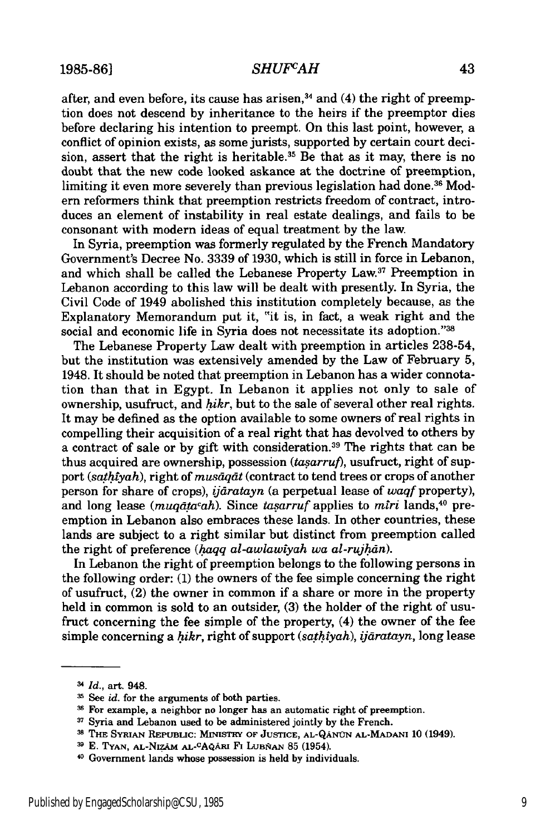### *SHUFCAH*

after, and even before, its cause has arisen, $34$  and (4) the right of preemption does not descend by inheritance to the heirs if the preemptor dies before declaring his intention to preempt. On this last point, however, a conflict of opinion exists, as some jurists, supported by certain court decision, assert that the right is heritable.<sup>35</sup> Be that as it may, there is no doubt that the new code looked askance at the doctrine of preemption, limiting it even more severely than previous legislation had done.<sup>36</sup> Modem reformers think that preemption restricts freedom of contract, introduces an element of instability in real estate dealings, and fails to be consonant with modern ideas of equal treatment by the law.

In Syria, preemption was formerly regulated by the French Mandatory Government's Decree No. 3339 of 1930, which is still in force in Lebanon, and which shall be called the Lebanese Property Law.37 Preemption in Lebanon according to this law will be dealt with presently. In Syria, the Civil Code of 1949 abolished this institution completely because, as the Explanatory Memorandum put it, "it is, in fact, a weak right and the social and economic life in Syria does not necessitate its adoption."38

The Lebanese Property Law dealt with preemption in articles 238-54, but the institution was extensively amended by the Law of February 5, 1948. It should be noted that preemption in Lebanon has a wider connotation than that in Egypt. In Lebanon it applies not only to sale of ownership, usufruct, and *hikr,* but to the sale of several other real rights. It may be defined as the option available to some owners of real rights in compelling their acquisition of a real right that has devolved to others by a contract of sale or by gift with consideration.39 The rights that can be thus acquired are ownership, possession  $(tasarruf)$ , usufruct, right of support *(sathtyah),* right of *musdqdt* (contract to tend trees or crops of another person for share of crops), *ijdratayn* (a perpetual lease of *waqf* property), and long lease *(muqdtacah).* Since *tasarruf* applies to *mtri* lands, 40 preemption in Lebanon also embraces these lands. In other countries, these lands are subject to a right similar but distinct from preemption called the right of preference *(haqq al-awlawiyah wa al-rujhan)*.

In Lebanon the right of preemption belongs to the following persons in the following order: (1) the owners of the fee simple concerning the right of usufruct, (2) the owner in common if a share or more in the property held in common is sold to an outsider, (3) the holder of the right of usufruct concerning the fee simple of the property, (4) the owner of the fee simple concerning a *hikr*, right of support *(sathiyah), ijāratayn*, long lease

**<sup>3-</sup>** *Id.,* art. 948.

**<sup>-</sup>s** See *id.* for the arguments of both parties.

<sup>&</sup>lt;sup>36</sup> For example, a neighbor no longer has an automatic right of preemption.

**<sup>37</sup>** Syria and Lebanon used to be administered jointly **by** the French.

**<sup>38</sup> THE SYRIAN REPUBLIC: MINISTRY** OF **JUSTICE,** AL-QANUN **AL-MADANI 10** (1949).

**<sup>39</sup> E. TYAN, AL-NIzAA AL-CAQAU** Fi LuBRAN **85** (1954).

<sup>4</sup>D Government lands whose possession is held **by** individuals.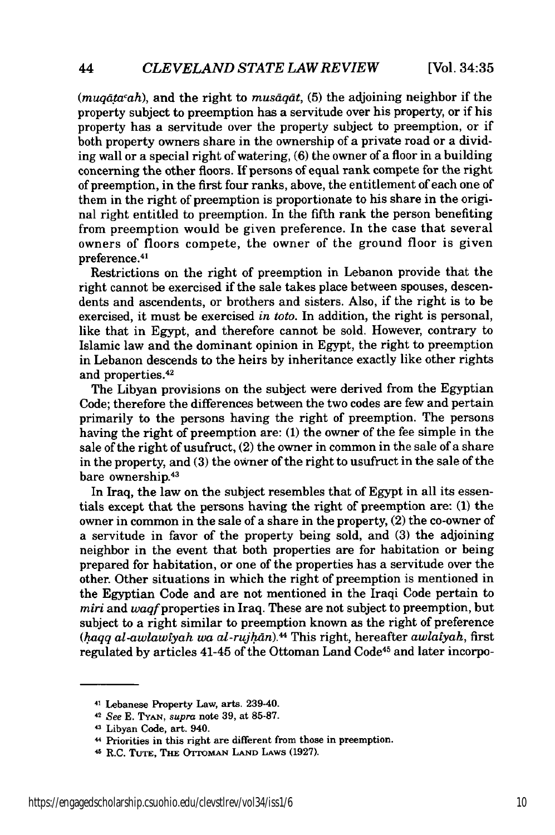*(muqdtacah),* and the right to *musdqdt,* (5) the adjoining neighbor if the property subject to preemption has a servitude over his property, or if his property has a servitude over the property subject to preemption, or if both property owners share in the ownership of a private road or a dividing wall or a special right of watering, (6) the owner of a floor in a building concerning the other floors. If persons of equal rank compete for the right of preemption, in the first four ranks, above, the entitlement of each one of them in the right of preemption is proportionate to his share in the original right entitled to preemption. In the fifth rank the person benefiting from preemption would be given preference. In the case that several owners of floors compete, the owner of the ground floor is given preference. <sup>41</sup>

Restrictions on the right of preemption in Lebanon provide that the right cannot be exercised if the sale takes place between spouses, descendents and ascendents, or brothers and sisters. Also, if the right is to be exercised, it must be exercised *in toto.* In addition, the right is personal, like that in Egypt, and therefore cannot be sold. However, contrary to Islamic law and the dominant opinion in Egypt, the right to preemption in Lebanon descends to the heirs by inheritance exactly like other rights and properties.<sup>42</sup>

The Libyan provisions on the subject were derived from the Egyptian Code; therefore the differences between the two codes are few and pertain primarily to the persons having the right of preemption. The persons having the right of preemption are: (1) the owner of the fee simple in the sale of the right of usufruct, (2) the owner in common in the sale of a share in the property, and (3) the owner of the right to usufruct in the sale of the bare ownership.<sup>43</sup>

In Iraq, the law on the subject resembles that of Egypt in all its essentials except that the persons having the right of preemption are: **(1)** the owner in common in the sale of a share in the property, (2) the co-owner of a servitude in favor of the property being sold, and (3) the adjoining neighbor in the event that both properties are for habitation or being prepared for habitation, or one of the properties has a servitude over the other. Other situations in which the right of preemption is mentioned in the Egyptian Code and are not mentioned in the Iraqi Code pertain to *miri* and waqf properties in Iraq. These are not subject to preemption, but subject to a right similar to preemption known as the right of preference *(.aqq al-awlawiyah wa al-rujhdn).44* This right, hereafter *awlatyah,* first regulated by articles 41-45 of the Ottoman Land Code<sup>45</sup> and later incorpo-

<sup>41</sup>Lebanese Property Law, arts. 239-40.

<sup>42</sup>*See* **E. TYAN,** *supra* note 39, at 85-87.

<sup>43</sup> Libyan Code, art. 940.

<sup>4</sup> Priorities in this right are different from those in preemption.

<sup>4</sup> R.C. **TUTE, THE OTTOMAN LAND** LAws (1927).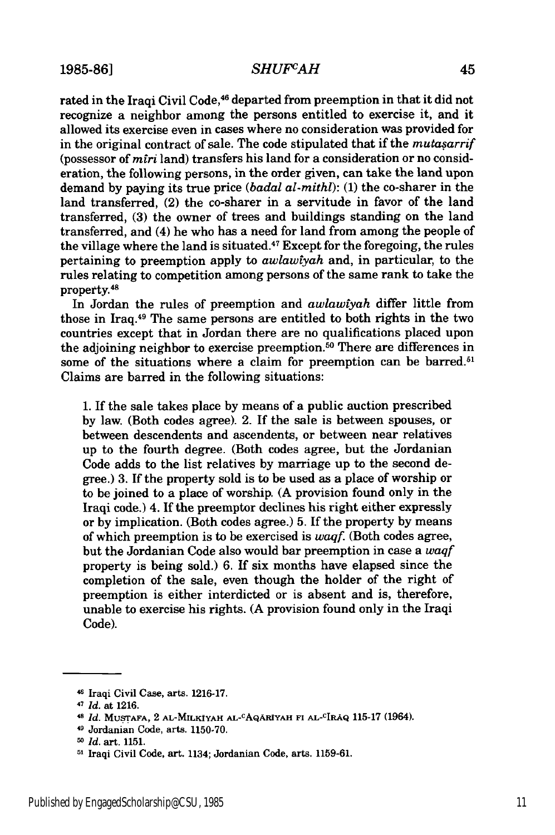#### *SHUFvAH*

rated in the Iraqi Civil Code,<sup>46</sup> departed from preemption in that it did not recognize a neighbor among the persons entitled to exercise it, and it allowed its exercise even in cases where no consideration was provided for in the original contract of sale. The code stipulated that if the *mutasarrif* (possessor of *mtri* land) transfers his land for a consideration or no consideration, the following persons, in the order given, can take the land upon demand by paying its true price *(badal al-mithl):* (1) the co-sharer in the land transferred, (2) the co-sharer in a servitude in favor of the land transferred, (3) the owner of trees and buildings standing on the land transferred, and (4) he who has a need for land from among the people of the village where the land is situated.47 Except for the foregoing, the rules pertaining to preemption apply to *awlawtyah* and, in particular, to the rules relating to competition among persons of the same rank to take the property.4

In Jordan the rules of preemption and *awlawtyah* differ little from those in Iraq.49 The same persons are entitled to both rights in the two countries except that in Jordan there are no qualifications placed upon the adjoining neighbor to exercise preemption.<sup>50</sup> There are differences in some of the situations where a claim for preemption can be barred.<sup>51</sup> Claims are barred in the following situations:

1. If the sale takes place by means of a public auction prescribed by law. (Both codes agree). 2. If the sale is between spouses, or between descendents and ascendents, or between near relatives up to the fourth degree. (Both codes agree, but the Jordanian Code adds to the list relatives by marriage up to the second degree.) 3. If the property sold is to be used as a place of worship or to be joined to a place of worship. (A provision found only in the Iraqi code.) 4. If the preemptor declines his right either expressly or by implication. (Both codes agree.) 5. If the property by means of which preemption is to be exercised is *waqf.* (Both codes agree, but the Jordanian Code also would bar preemption in case a *waqf* property is being sold.) 6. If six months have elapsed since the completion of the sale, even though the holder of the right of preemption is either interdicted or is absent and is, therefore, unable to exercise his rights. (A provision found only in the Iraqi Code).

<sup>4</sup> Iraqi Civil Case, arts. **1216-17.**

*<sup>47</sup> Id.* at **1216.**

<sup>4</sup>*Id.* **MUSTAFA,** 2 **AL-MILKIYAH AL-cAQAXRYAH F1 AL-CIRAQ 115-17** (1964).

<sup>49</sup> Jordanian Code, arts. **1150-70.**

*<sup>50</sup> Id.* art. **1151.**

**<sup>91</sup>** Iraqi Civil Code, art. 1134; Jordanian Code, arts. **1159-61.**